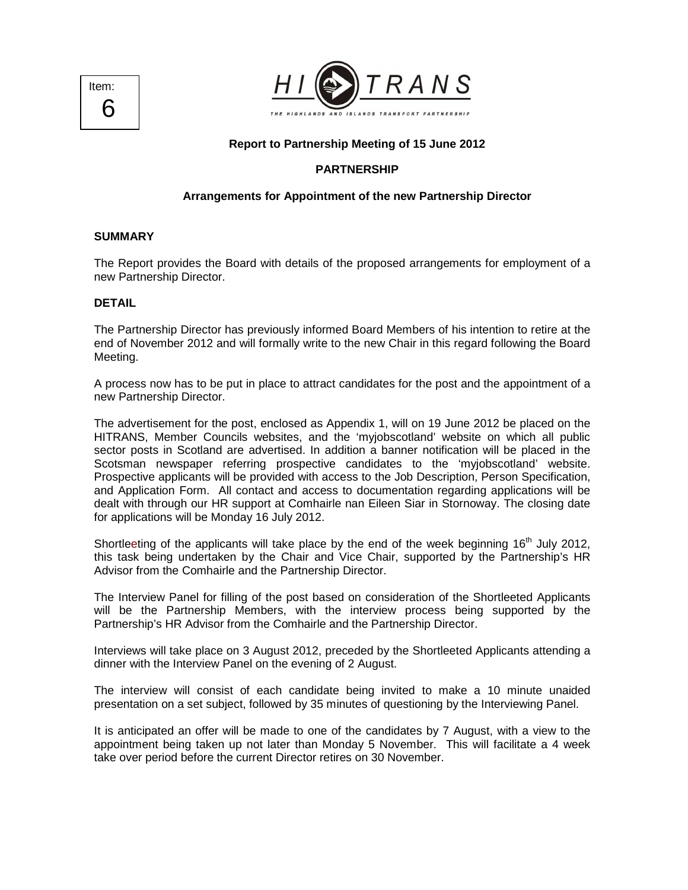



# **Report to Partnership Meeting of 15 June 2012**

### **PARTNERSHIP**

### **Arrangements for Appointment of the new Partnership Director**

#### **SUMMARY**

The Report provides the Board with details of the proposed arrangements for employment of a new Partnership Director.

#### **DETAIL**

The Partnership Director has previously informed Board Members of his intention to retire at the end of November 2012 and will formally write to the new Chair in this regard following the Board Meeting.

A process now has to be put in place to attract candidates for the post and the appointment of a new Partnership Director.

The advertisement for the post, enclosed as Appendix 1, will on 19 June 2012 be placed on the HITRANS, Member Councils websites, and the 'myjobscotland' website on which all public sector posts in Scotland are advertised. In addition a banner notification will be placed in the Scotsman newspaper referring prospective candidates to the 'myjobscotland' website. Prospective applicants will be provided with access to the Job Description, Person Specification, and Application Form. All contact and access to documentation regarding applications will be dealt with through our HR support at Comhairle nan Eileen Siar in Stornoway. The closing date for applications will be Monday 16 July 2012.

Shortleeting of the applicants will take place by the end of the week beginning  $16<sup>th</sup>$  July 2012, this task being undertaken by the Chair and Vice Chair, supported by the Partnership's HR Advisor from the Comhairle and the Partnership Director.

The Interview Panel for filling of the post based on consideration of the Shortleeted Applicants will be the Partnership Members, with the interview process being supported by the Partnership's HR Advisor from the Comhairle and the Partnership Director.

Interviews will take place on 3 August 2012, preceded by the Shortleeted Applicants attending a dinner with the Interview Panel on the evening of 2 August.

The interview will consist of each candidate being invited to make a 10 minute unaided presentation on a set subject, followed by 35 minutes of questioning by the Interviewing Panel.

It is anticipated an offer will be made to one of the candidates by 7 August, with a view to the appointment being taken up not later than Monday 5 November. This will facilitate a 4 week take over period before the current Director retires on 30 November.